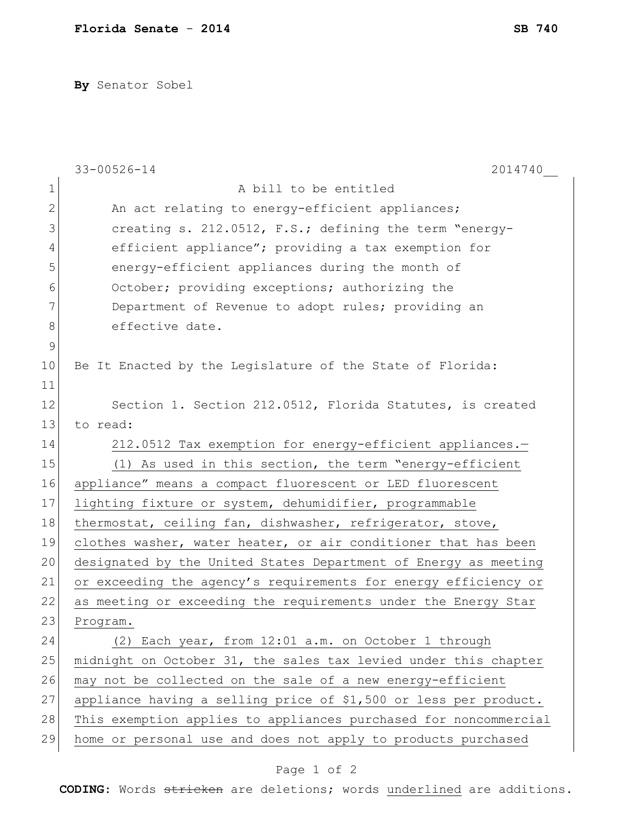**By** Senator Sobel

|               | $33 - 00526 - 14$<br>2014740                                     |
|---------------|------------------------------------------------------------------|
| 1             | A bill to be entitled                                            |
| $\mathbf{2}$  | An act relating to energy-efficient appliances;                  |
| 3             | creating s. 212.0512, F.S.; defining the term "energy-           |
| 4             | efficient appliance"; providing a tax exemption for              |
| 5             | energy-efficient appliances during the month of                  |
| 6             | October; providing exceptions; authorizing the                   |
| 7             | Department of Revenue to adopt rules; providing an               |
| $8\,$         | effective date.                                                  |
| $\mathcal{G}$ |                                                                  |
| 10            | Be It Enacted by the Legislature of the State of Florida:        |
| 11            |                                                                  |
| 12            | Section 1. Section 212.0512, Florida Statutes, is created        |
| 13            | to read:                                                         |
| 14            | 212.0512 Tax exemption for energy-efficient appliances.-         |
| 15            | (1) As used in this section, the term "energy-efficient          |
| 16            | appliance" means a compact fluorescent or LED fluorescent        |
| 17            | lighting fixture or system, dehumidifier, programmable           |
| 18            | thermostat, ceiling fan, dishwasher, refrigerator, stove,        |
| 19            | clothes washer, water heater, or air conditioner that has been   |
| 20            | designated by the United States Department of Energy as meeting  |
| 21            | or exceeding the agency's requirements for energy efficiency or  |
| 22            | as meeting or exceeding the requirements under the Energy Star   |
| 23            | Program.                                                         |
| 24            | (2) Each year, from 12:01 a.m. on October 1 through              |
| 25            | midnight on October 31, the sales tax levied under this chapter  |
| 26            | may not be collected on the sale of a new energy-efficient       |
| 27            | appliance having a selling price of \$1,500 or less per product. |
| 28            | This exemption applies to appliances purchased for noncommercial |
| 29            | home or personal use and does not apply to products purchased    |

## Page 1 of 2

**CODING**: Words stricken are deletions; words underlined are additions.